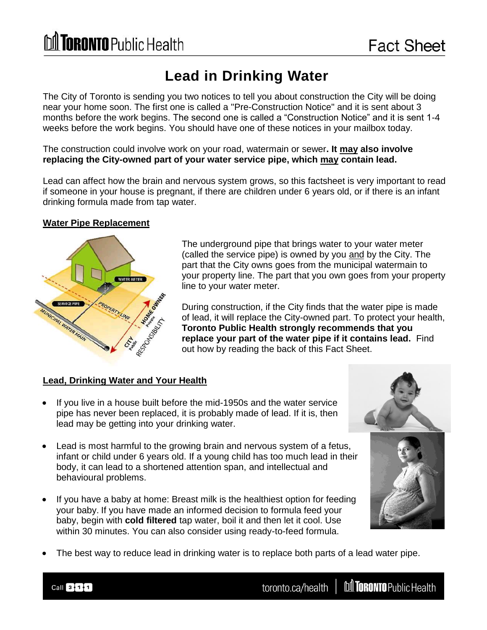# M TORONTO Public Health

## **Lead in Drinking Water**

The City of Toronto is sending you two notices to tell you about construction the City will be doing near your home soon. The first one is called a "Pre-Construction Notice" and it is sent about 3 months before the work begins. The second one is called a "Construction Notice" and it is sent 1-4 weeks before the work begins. You should have one of these notices in your mailbox today.

The construction could involve work on your road, watermain or sewer**. It may also involve replacing the City-owned part of your water service pipe, which may contain lead.** 

Lead can affect how the brain and nervous system grows, so this factsheet is very important to read if someone in your house is pregnant, if there are children under 6 years old, or if there is an infant drinking formula made from tap water.

### **Water Pipe Replacement**



The underground pipe that brings water to your water meter (called the service pipe) is owned by you and by the City. The part that the City owns goes from the municipal watermain to your property line. The part that you own goes from your property line to your water meter.

During construction, if the City finds that the water pipe is made of lead, it will replace the City-owned part. To protect your health, **Toronto Public Health strongly recommends that you replace your part of the water pipe if it contains lead.** Find out how by reading the back of this Fact Sheet.

#### **Lead, Drinking Water and Your Health**

- If you live in a house built before the mid-1950s and the water service pipe has never been replaced, it is probably made of lead. If it is, then lead may be getting into your drinking water.
- Lead is most harmful to the growing brain and nervous system of a fetus, infant or child under 6 years old. If a young child has too much lead in their body, it can lead to a shortened attention span, and intellectual and behavioural problems.
- If you have a baby at home: Breast milk is the healthiest option for feeding your baby. If you have made an informed decision to formula feed your baby, begin with **cold filtered** tap water, boil it and then let it cool. Use within 30 minutes. You can also consider using ready-to-feed formula.



The best way to reduce lead in drinking water is to replace both parts of a lead water pipe.